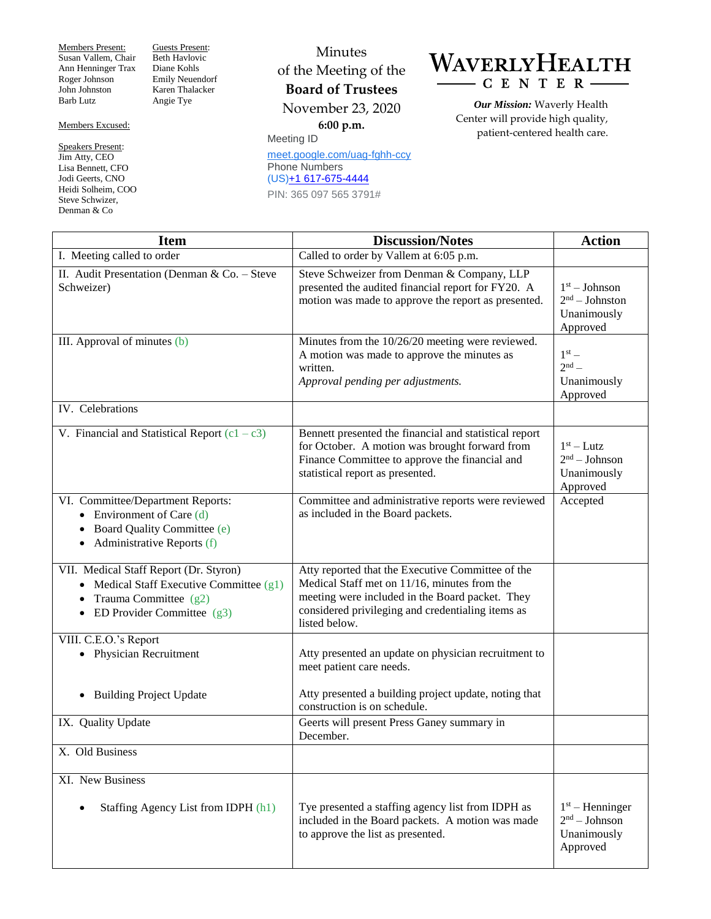Members Present: Susan Vallem, Chair Ann Henninger Trax Roger Johnson John Johnston Barb Lutz

Guests Present: Beth Havlovic Diane Kohls Emily Neuendorf Karen Thalacker Angie Tye

## Members Excused:

Speakers Present: Jim Atty, CEO Lisa Bennett, CFO Jodi Geerts, CNO Heidi Solheim, COO Steve Schwizer, Denman & Co

Minutes of the Meeting of the **Board of Trustees** November 23, 2020 **6:00 p.m.**

Meeting ID [meet.google.com/uag-fghh-ccy](https://meet.google.com/uag-fghh-ccy?hs=122&authuser=0) Phone Numbers (US)+1 [617-675-4444](tel:%E2%80%AA+1%20617-675-4444%E2%80%AC) PIN: 365 097 565 3791#

## WAVERLYHEALTH CENTER-

*Our Mission:* Waverly Health Center will provide high quality, patient-centered health care.

| <b>Item</b>                                                                                                                                                    | <b>Discussion/Notes</b>                                                                                                                                                                                                    | <b>Action</b>                                                   |
|----------------------------------------------------------------------------------------------------------------------------------------------------------------|----------------------------------------------------------------------------------------------------------------------------------------------------------------------------------------------------------------------------|-----------------------------------------------------------------|
| I. Meeting called to order                                                                                                                                     | Called to order by Vallem at 6:05 p.m.                                                                                                                                                                                     |                                                                 |
| II. Audit Presentation (Denman & Co. - Steve<br>Schweizer)                                                                                                     | Steve Schweizer from Denman & Company, LLP<br>presented the audited financial report for FY20. A<br>motion was made to approve the report as presented.                                                                    | $1st - Johnson$<br>$2nd - Johnston$<br>Unanimously<br>Approved  |
| III. Approval of minutes (b)                                                                                                                                   | Minutes from the 10/26/20 meeting were reviewed.<br>A motion was made to approve the minutes as<br>written.<br>Approval pending per adjustments.                                                                           | $1st$ –<br>$2nd$ –<br>Unanimously<br>Approved                   |
| IV. Celebrations                                                                                                                                               |                                                                                                                                                                                                                            |                                                                 |
| V. Financial and Statistical Report $(c1 - c3)$                                                                                                                | Bennett presented the financial and statistical report<br>for October. A motion was brought forward from<br>Finance Committee to approve the financial and<br>statistical report as presented.                             | $1st - Lutz$<br>$2nd - Johnson$<br>Unanimously<br>Approved      |
| VI. Committee/Department Reports:<br>• Environment of Care $(d)$<br>Board Quality Committee (e)<br>$\bullet$<br>$\bullet$ Administrative Reports (f)           | Committee and administrative reports were reviewed<br>as included in the Board packets.                                                                                                                                    | Accepted                                                        |
| VII. Medical Staff Report (Dr. Styron)<br>• Medical Staff Executive Committee $(g1)$<br>Trauma Committee $(g2)$<br>$\bullet$<br>• ED Provider Committee $(g3)$ | Atty reported that the Executive Committee of the<br>Medical Staff met on 11/16, minutes from the<br>meeting were included in the Board packet. They<br>considered privileging and credentialing items as<br>listed below. |                                                                 |
| VIII. C.E.O.'s Report<br>• Physician Recruitment                                                                                                               | Atty presented an update on physician recruitment to<br>meet patient care needs.                                                                                                                                           |                                                                 |
| <b>Building Project Update</b><br>$\bullet$                                                                                                                    | Atty presented a building project update, noting that<br>construction is on schedule.                                                                                                                                      |                                                                 |
| IX. Quality Update                                                                                                                                             | Geerts will present Press Ganey summary in<br>December.                                                                                                                                                                    |                                                                 |
| X. Old Business                                                                                                                                                |                                                                                                                                                                                                                            |                                                                 |
| XI. New Business                                                                                                                                               |                                                                                                                                                                                                                            |                                                                 |
| Staffing Agency List from IDPH (h1)                                                                                                                            | Tye presented a staffing agency list from IDPH as<br>included in the Board packets. A motion was made<br>to approve the list as presented.                                                                                 | $1st$ – Henninger<br>$2nd - Johnson$<br>Unanimously<br>Approved |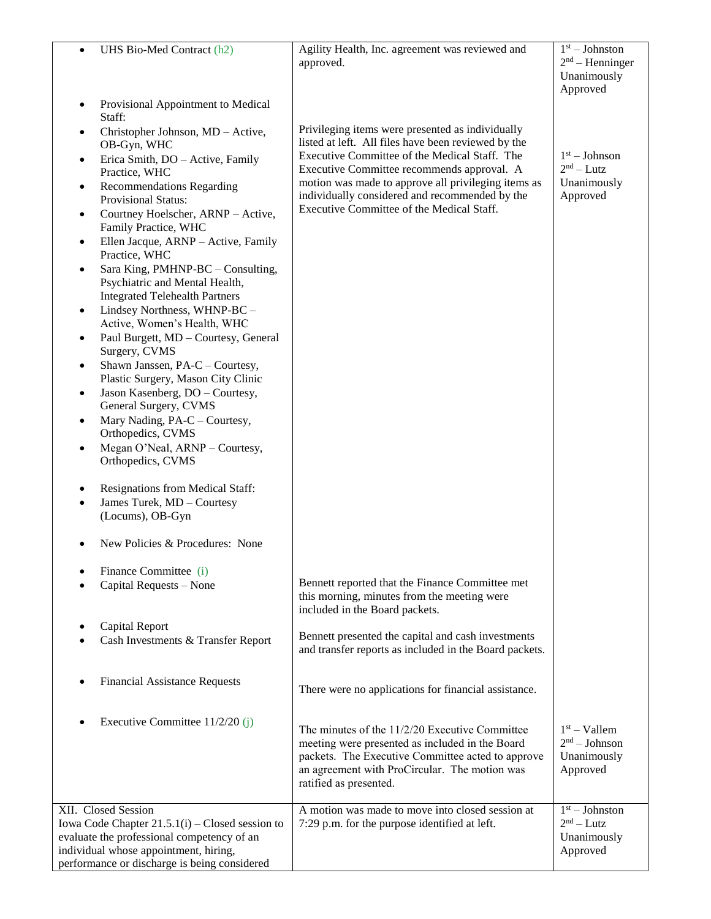| UHS Bio-Med Contract (h2)<br>$\bullet$                                                                                    | Agility Health, Inc. agreement was reviewed and<br>approved.                                            | $\overline{1^{st}}$ – Johnston<br>$2nd$ – Henninger<br>Unanimously<br>Approved |
|---------------------------------------------------------------------------------------------------------------------------|---------------------------------------------------------------------------------------------------------|--------------------------------------------------------------------------------|
| Provisional Appointment to Medical<br>$\bullet$<br>Staff:                                                                 |                                                                                                         |                                                                                |
| Christopher Johnson, MD - Active,<br>٠<br>OB-Gyn, WHC                                                                     | Privileging items were presented as individually<br>listed at left. All files have been reviewed by the |                                                                                |
| Erica Smith, DO - Active, Family<br>$\bullet$<br>Practice, WHC                                                            | Executive Committee of the Medical Staff. The<br>Executive Committee recommends approval. A             | $1st - Johnson$<br>$2nd - Lutz$                                                |
| <b>Recommendations Regarding</b><br>٠<br><b>Provisional Status:</b>                                                       | motion was made to approve all privileging items as<br>individually considered and recommended by the   | Unanimously<br>Approved                                                        |
| Courtney Hoelscher, ARNP - Active,<br>$\bullet$<br>Family Practice, WHC                                                   | Executive Committee of the Medical Staff.                                                               |                                                                                |
| Ellen Jacque, ARNP - Active, Family<br>$\bullet$<br>Practice, WHC                                                         |                                                                                                         |                                                                                |
| Sara King, PMHNP-BC - Consulting,<br>$\bullet$<br>Psychiatric and Mental Health,<br><b>Integrated Telehealth Partners</b> |                                                                                                         |                                                                                |
| Lindsey Northness, WHNP-BC -<br>$\bullet$<br>Active, Women's Health, WHC                                                  |                                                                                                         |                                                                                |
| Paul Burgett, MD - Courtesy, General<br>٠<br>Surgery, CVMS                                                                |                                                                                                         |                                                                                |
| Shawn Janssen, PA-C - Courtesy,<br>Plastic Surgery, Mason City Clinic                                                     |                                                                                                         |                                                                                |
| Jason Kasenberg, DO - Courtesy,<br>$\bullet$<br>General Surgery, CVMS                                                     |                                                                                                         |                                                                                |
| Mary Nading, PA-C - Courtesy,<br>$\bullet$<br>Orthopedics, CVMS<br>Megan O'Neal, ARNP - Courtesy,                         |                                                                                                         |                                                                                |
| ٠<br>Orthopedics, CVMS                                                                                                    |                                                                                                         |                                                                                |
| Resignations from Medical Staff:<br>$\bullet$<br>James Turek, MD - Courtesy<br>$\bullet$                                  |                                                                                                         |                                                                                |
| (Locums), OB-Gyn                                                                                                          |                                                                                                         |                                                                                |
| New Policies & Procedures: None                                                                                           |                                                                                                         |                                                                                |
| Finance Committee (i)<br>Capital Requests - None                                                                          | Bennett reported that the Finance Committee met                                                         |                                                                                |
|                                                                                                                           | this morning, minutes from the meeting were<br>included in the Board packets.                           |                                                                                |
| <b>Capital Report</b>                                                                                                     | Bennett presented the capital and cash investments                                                      |                                                                                |
| Cash Investments & Transfer Report                                                                                        | and transfer reports as included in the Board packets.                                                  |                                                                                |
| <b>Financial Assistance Requests</b>                                                                                      | There were no applications for financial assistance.                                                    |                                                                                |
| Executive Committee 11/2/20 (j)                                                                                           | The minutes of the 11/2/20 Executive Committee                                                          | $1st -$ Vallem                                                                 |
|                                                                                                                           | meeting were presented as included in the Board<br>packets. The Executive Committee acted to approve    | $2nd - Johnson$<br>Unanimously                                                 |
|                                                                                                                           | an agreement with ProCircular. The motion was<br>ratified as presented.                                 | Approved                                                                       |
| XII. Closed Session                                                                                                       | A motion was made to move into closed session at                                                        | $1st - Johnston$                                                               |
| Iowa Code Chapter $21.5.1(i)$ – Closed session to                                                                         | 7:29 p.m. for the purpose identified at left.                                                           | $2nd - Lutz$                                                                   |
| evaluate the professional competency of an                                                                                |                                                                                                         | Unanimously                                                                    |
| individual whose appointment, hiring,<br>performance or discharge is being considered                                     |                                                                                                         | Approved                                                                       |